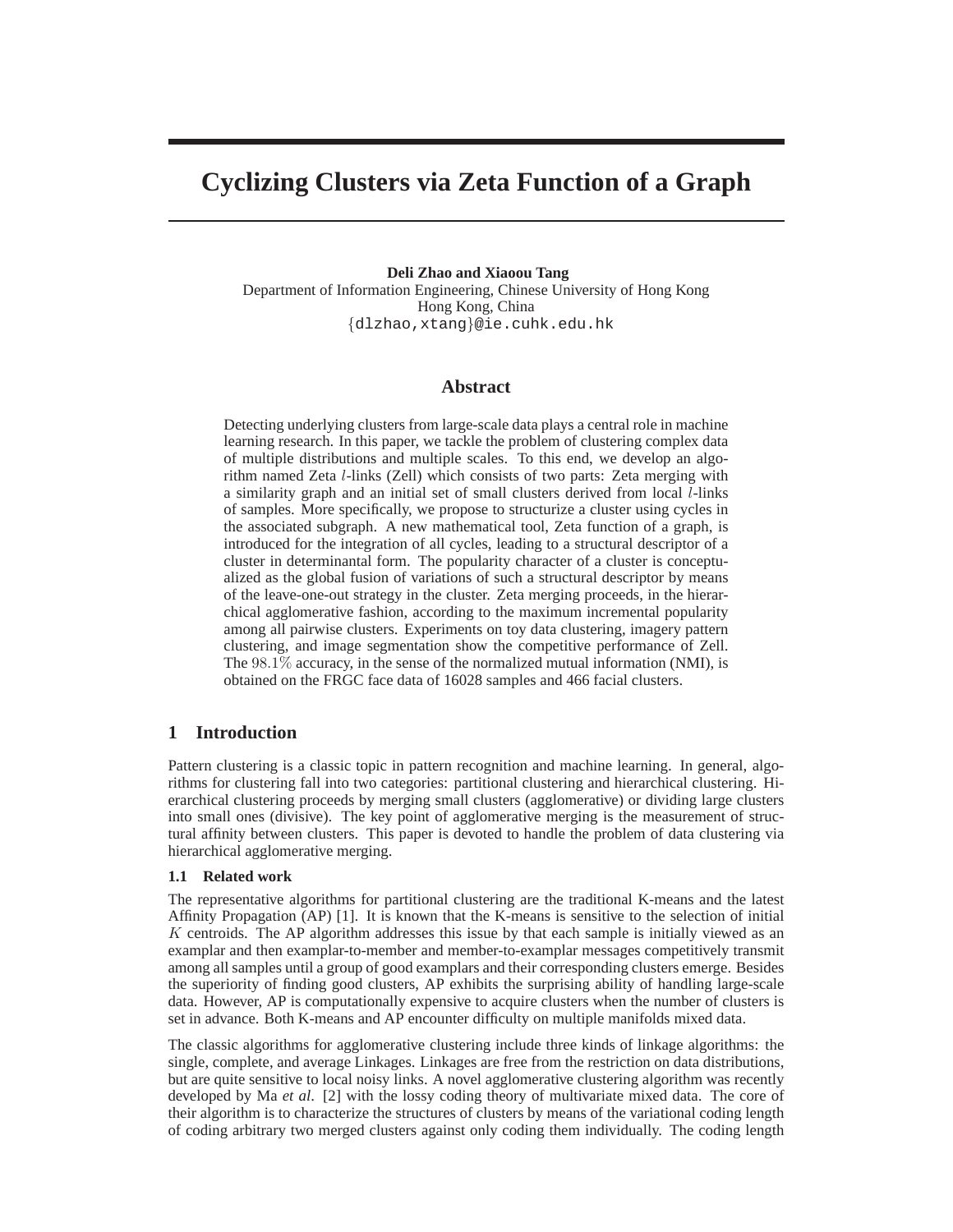# **Cyclizing Clusters via Zeta Function of a Graph**

**Deli Zhao and Xiaoou Tang** Department of Information Engineering, Chinese University of Hong Kong Hong Kong, China {dlzhao,xtang}@ie.cuhk.edu.hk

## **Abstract**

Detecting underlying clusters from large-scale data plays a central role in machine learning research. In this paper, we tackle the problem of clustering complex data of multiple distributions and multiple scales. To this end, we develop an algorithm named Zeta l-links (Zell) which consists of two parts: Zeta merging with a similarity graph and an initial set of small clusters derived from local l-links of samples. More specifically, we propose to structurize a cluster using cycles in the associated subgraph. A new mathematical tool, Zeta function of a graph, is introduced for the integration of all cycles, leading to a structural descriptor of a cluster in determinantal form. The popularity character of a cluster is conceptualized as the global fusion of variations of such a structural descriptor by means of the leave-one-out strategy in the cluster. Zeta merging proceeds, in the hierarchical agglomerative fashion, according to the maximum incremental popularity among all pairwise clusters. Experiments on toy data clustering, imagery pattern clustering, and image segmentation show the competitive performance of Zell. The 98.1% accuracy, in the sense of the normalized mutual information (NMI), is obtained on the FRGC face data of 16028 samples and 466 facial clusters.

## **1 Introduction**

Pattern clustering is a classic topic in pattern recognition and machine learning. In general, algorithms for clustering fall into two categories: partitional clustering and hierarchical clustering. Hierarchical clustering proceeds by merging small clusters (agglomerative) or dividing large clusters into small ones (divisive). The key point of agglomerative merging is the measurement of structural affinity between clusters. This paper is devoted to handle the problem of data clustering via hierarchical agglomerative merging.

## **1.1 Related work**

The representative algorithms for partitional clustering are the traditional K-means and the latest Affinity Propagation (AP) [1]. It is known that the K-means is sensitive to the selection of initial  $K$  centroids. The AP algorithm addresses this issue by that each sample is initially viewed as an examplar and then examplar-to-member and member-to-examplar messages competitively transmit among all samples until a group of good examplars and their corresponding clusters emerge. Besides the superiority of finding good clusters, AP exhibits the surprising ability of handling large-scale data. However, AP is computationally expensive to acquire clusters when the number of clusters is set in advance. Both K-means and AP encounter difficulty on multiple manifolds mixed data.

The classic algorithms for agglomerative clustering include three kinds of linkage algorithms: the single, complete, and average Linkages. Linkages are free from the restriction on data distributions, but are quite sensitive to local noisy links. A novel agglomerative clustering algorithm was recently developed by Ma *et al*. [2] with the lossy coding theory of multivariate mixed data. The core of their algorithm is to characterize the structures of clusters by means of the variational coding length of coding arbitrary two merged clusters against only coding them individually. The coding length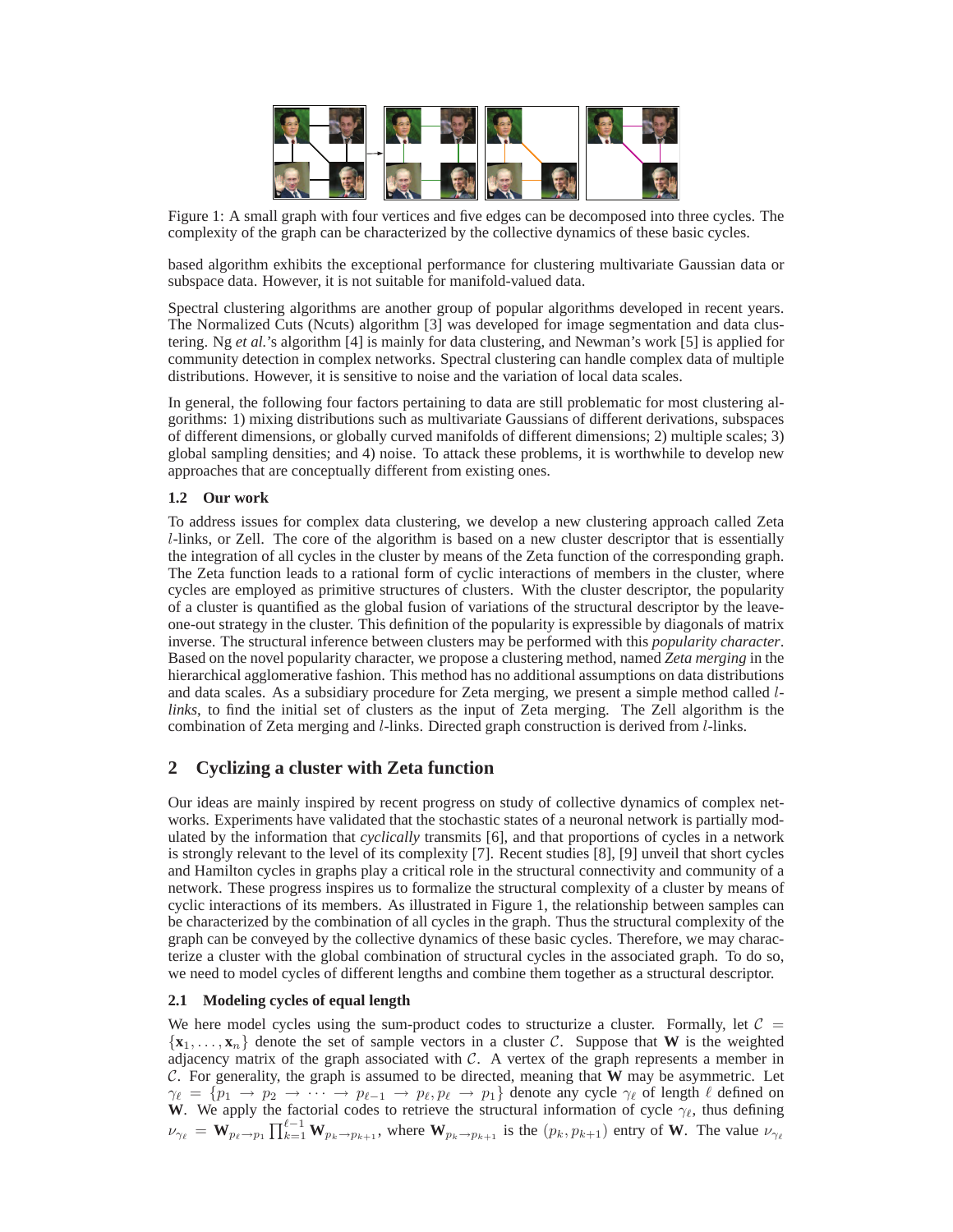

Figure 1: A small graph with four vertices and five edges can be decomposed into three cycles. The complexity of the graph can be characterized by the collective dynamics of these basic cycles.

based algorithm exhibits the exceptional performance for clustering multivariate Gaussian data or subspace data. However, it is not suitable for manifold-valued data.

Spectral clustering algorithms are another group of popular algorithms developed in recent years. The Normalized Cuts (Ncuts) algorithm [3] was developed for image segmentation and data clustering. Ng *et al.*'s algorithm [4] is mainly for data clustering, and Newman's work [5] is applied for community detection in complex networks. Spectral clustering can handle complex data of multiple distributions. However, it is sensitive to noise and the variation of local data scales.

In general, the following four factors pertaining to data are still problematic for most clustering algorithms: 1) mixing distributions such as multivariate Gaussians of different derivations, subspaces of different dimensions, or globally curved manifolds of different dimensions; 2) multiple scales; 3) global sampling densities; and 4) noise. To attack these problems, it is worthwhile to develop new approaches that are conceptually different from existing ones.

## **1.2 Our work**

To address issues for complex data clustering, we develop a new clustering approach called Zeta l-links, or Zell. The core of the algorithm is based on a new cluster descriptor that is essentially the integration of all cycles in the cluster by means of the Zeta function of the corresponding graph. The Zeta function leads to a rational form of cyclic interactions of members in the cluster, where cycles are employed as primitive structures of clusters. With the cluster descriptor, the popularity of a cluster is quantified as the global fusion of variations of the structural descriptor by the leaveone-out strategy in the cluster. This definition of the popularity is expressible by diagonals of matrix inverse. The structural inference between clusters may be performed with this *popularity character*. Based on the novel popularity character, we propose a clustering method, named *Zeta merging* in the hierarchical agglomerative fashion. This method has no additional assumptions on data distributions and data scales. As a subsidiary procedure for Zeta merging, we present a simple method called l*links*, to find the initial set of clusters as the input of Zeta merging. The Zell algorithm is the combination of Zeta merging and l-links. Directed graph construction is derived from l-links.

## **2 Cyclizing a cluster with Zeta function**

Our ideas are mainly inspired by recent progress on study of collective dynamics of complex networks. Experiments have validated that the stochastic states of a neuronal network is partially modulated by the information that *cyclically* transmits [6], and that proportions of cycles in a network is strongly relevant to the level of its complexity [7]. Recent studies [8], [9] unveil that short cycles and Hamilton cycles in graphs play a critical role in the structural connectivity and community of a network. These progress inspires us to formalize the structural complexity of a cluster by means of cyclic interactions of its members. As illustrated in Figure 1, the relationship between samples can be characterized by the combination of all cycles in the graph. Thus the structural complexity of the graph can be conveyed by the collective dynamics of these basic cycles. Therefore, we may characterize a cluster with the global combination of structural cycles in the associated graph. To do so, we need to model cycles of different lengths and combine them together as a structural descriptor.

## **2.1 Modeling cycles of equal length**

We here model cycles using the sum-product codes to structurize a cluster. Formally, let  $C =$  $\{x_1, \ldots, x_n\}$  denote the set of sample vectors in a cluster C. Suppose that **W** is the weighted adjacency matrix of the graph associated with  $C$ . A vertex of the graph represents a member in C. For generality, the graph is assumed to be directed, meaning that **W** may be asymmetric. Let  $\gamma_\ell = \{p_1 \to p_2 \to \cdots \to p_{\ell-1} \to p_\ell, p_\ell \to p_1\}$  denote any cycle  $\gamma_\ell$  of length  $\ell$  defined on **W**. We apply the factorial codes to retrieve the structural information of cycle  $\gamma_{\ell}$ , thus defining  $\nu_{\gamma_{\ell}} = \mathbf{W}_{p_{\ell} \to p_1} \prod_{k=1}^{\ell-1} \mathbf{W}_{p_k \to p_{k+1}}$ , where  $\mathbf{W}_{p_k \to p_{k+1}}$  is the  $(p_k, p_{k+1})$  entry of W. The value  $\nu_{\gamma_{\ell}}$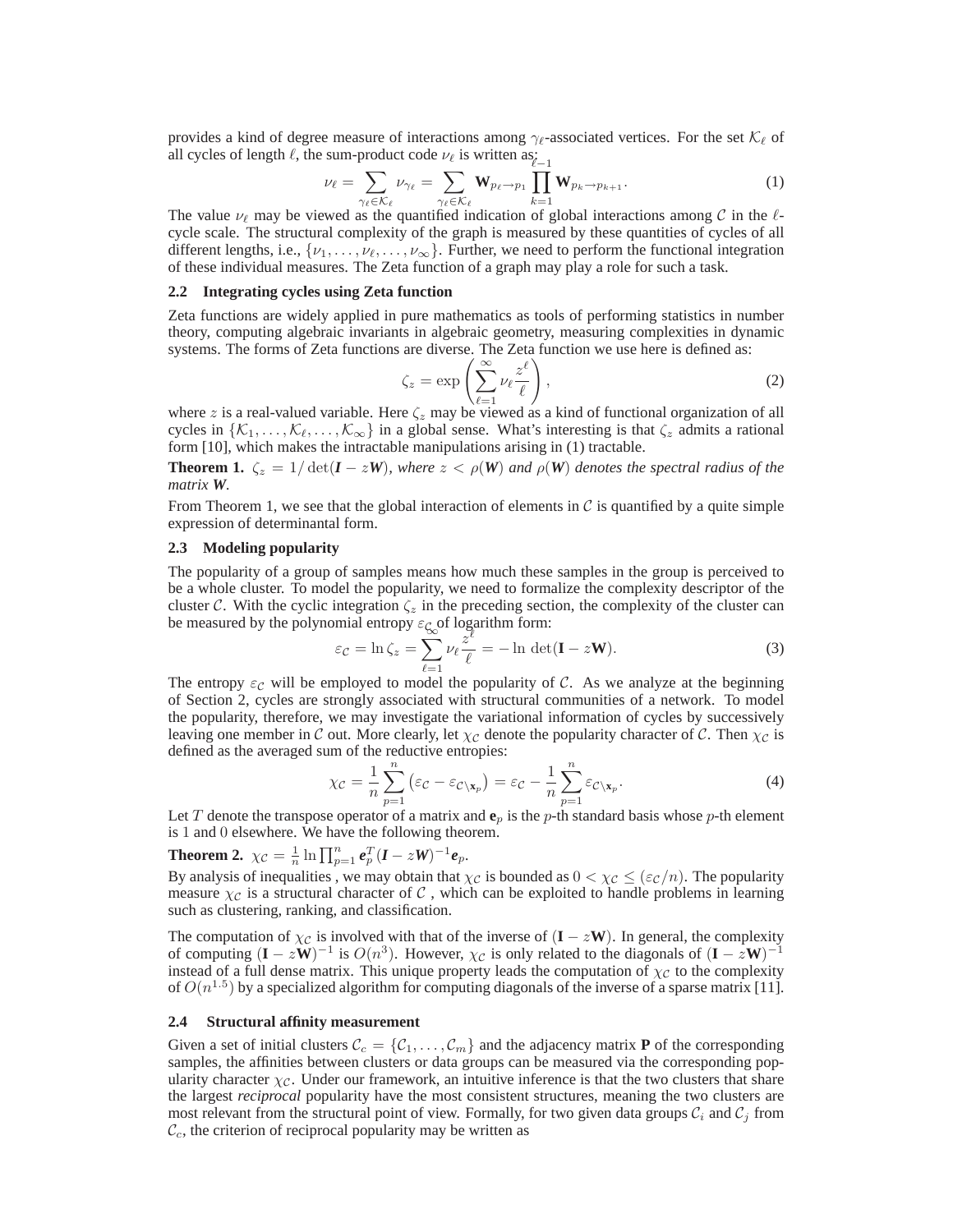provides a kind of degree measure of interactions among  $\gamma_{\ell}$ -associated vertices. For the set  $\mathcal{K}_{\ell}$  of all cycles of length  $\ell$ , the sum-product code  $\nu_{\ell}$  is written as:<br> $\nu_{\ell} = \sum_{\nu_{\ell} = \ell} \nu_{\nu_{\ell}} = \sum_{\nu_{\ell} = \ell} W_{\nu_{\ell} \to \nu_{\ell}} \prod_{\nu_{\ell} = \ell}$ 

$$
\nu_{\ell} = \sum_{\gamma_{\ell} \in \mathcal{K}_{\ell}} \nu_{\gamma_{\ell}} = \sum_{\gamma_{\ell} \in \mathcal{K}_{\ell}} \mathbf{W}_{p_{\ell} \to p_1} \prod_{k=1} \mathbf{W}_{p_k \to p_{k+1}}.
$$
\n(1)

The value  $\nu_{\ell}$  may be viewed as the quantified indication of global interactions among C in the  $\ell$ cycle scale. The structural complexity of the graph is measured by these quantities of cycles of all different lengths, i.e.,  $\{\nu_1, \ldots, \nu_\ell, \ldots, \nu_\infty\}$ . Further, we need to perform the functional integration of these individual measures. The Zeta function of a graph may play a role for such a task.

#### **2.2 Integrating cycles using Zeta function**

Zeta functions are widely applied in pure mathematics as tools of performing statistics in number theory, computing algebraic invariants in algebraic geometry, measuring complexities in dynamic systems. The forms of Zeta functions are diverse. The Zeta function we use here is defined as:

$$
\zeta_z = \exp\left(\sum_{\ell=1}^{\infty} \nu_\ell \frac{z^{\ell}}{\ell}\right),\tag{2}
$$

where z is a real-valued variable. Here  $\zeta$  may be viewed as a kind of functional organization of all cycles in  $\{\mathcal{K}_1, \ldots, \mathcal{K}_e, \ldots, \mathcal{K}_{\infty}\}\$  in a global sense. What's interesting is that  $\zeta_z$  admits a rational form [10], which makes the intractable manipulations arising in (1) tractable.

**Theorem 1.**  $\zeta_z = 1/\det(I - zW)$ , where  $z < \rho(W)$  and  $\rho(W)$  denotes the spectral radius of the *matrix W.*

From Theorem 1, we see that the global interaction of elements in  $\mathcal C$  is quantified by a quite simple expression of determinantal form.

#### **2.3 Modeling popularity**

The popularity of a group of samples means how much these samples in the group is perceived to be a whole cluster. To model the popularity, we need to formalize the complexity descriptor of the cluster C. With the cyclic integration  $\zeta_z$  in the preceding section, the complexity of the cluster can be measured by the polynomial entropy  $\varepsilon_{\mathcal{G}_{\infty}}$  of logarithm form:<br>  $\varepsilon_{\mathcal{G}} = \ln \zeta_{\infty} = \sum \nu_{\mathcal{G}} \frac{z^{\ell}}{\varepsilon} = -\ln \det \frac{z^{\ell}}{\varepsilon}$ 

$$
\varepsilon_{\mathcal{C}} = \ln \zeta_z = \sum_{\ell=1}^{\infty} \nu_{\ell} \frac{z^{\ell}}{\ell} = -\ln \det(\mathbf{I} - z\mathbf{W}). \tag{3}
$$

The entropy  $\varepsilon_c$  will be employed to model the popularity of C. As we analyze at the beginning of Section 2, cycles are strongly associated with structural communities of a network. To model the popularity, therefore, we may investigate the variational information of cycles by successively leaving one member in C out. More clearly, let  $\chi_c$  denote the popularity character of C. Then  $\chi_c$  is defined as the averaged sum of the reductive entropies:

$$
\chi_{\mathcal{C}} = \frac{1}{n} \sum_{p=1}^{n} \left( \varepsilon_{\mathcal{C}} - \varepsilon_{\mathcal{C} \setminus \mathbf{x}_p} \right) = \varepsilon_{\mathcal{C}} - \frac{1}{n} \sum_{p=1}^{n} \varepsilon_{\mathcal{C} \setminus \mathbf{x}_p}.
$$
 (4)

Let T denote the transpose operator of a matrix and  $e_p$  is the p-th standard basis whose p-th element is 1 and 0 elsewhere. We have the following theorem.

## **Theorem 2.**  $\chi_{\mathcal{C}} = \frac{1}{n} \ln \prod_{p=1}^{n} e_p^T (I - zW)^{-1} e_p$ .

By analysis of inequalities, we may obtain that  $\chi_c$  is bounded as  $0 < \chi_c \leq (\varepsilon_c/n)$ . The popularity measure  $\chi_c$  is a structural character of C, which can be exploited to handle problems in learning such as clustering, ranking, and classification.

The computation of  $\chi_c$  is involved with that of the inverse of (**I** − z**W**). In general, the complexity of computing  $(I - zW)^{-1}$  is  $O(n^3)$ . However,  $\chi_c$  is only related to the diagonals of  $(I - zW)^{-1}$ instead of a full dense matrix. This unique property leads the computation of  $\chi_c$  to the complexity of  $O(n^{1.5})$  by a specialized algorithm for computing diagonals of the inverse of a sparse matrix [11].

#### **2.4 Structural affinity measurement**

Given a set of initial clusters  $\mathcal{C}_c = \{C_1, \ldots, C_m\}$  and the adjacency matrix **P** of the corresponding samples, the affinities between clusters or data groups can be measured via the corresponding popularity character  $\chi_c$ . Under our framework, an intuitive inference is that the two clusters that share the largest *reciprocal* popularity have the most consistent structures, meaning the two clusters are most relevant from the structural point of view. Formally, for two given data groups  $C_i$  and  $C_j$  from  $C_c$ , the criterion of reciprocal popularity may be written as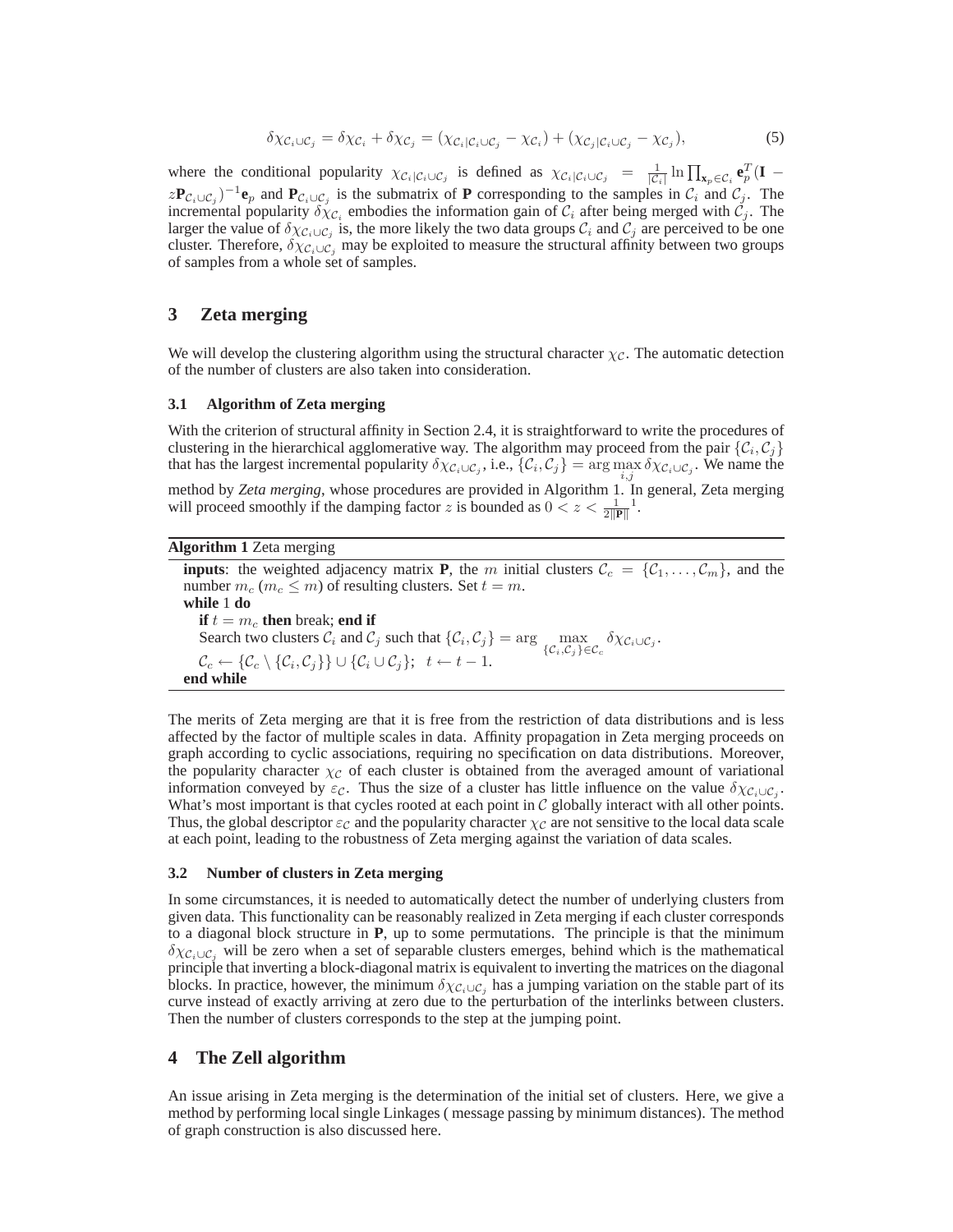$$
\delta \chi_{\mathcal{C}_i \cup \mathcal{C}_j} = \delta \chi_{\mathcal{C}_i} + \delta \chi_{\mathcal{C}_j} = (\chi_{\mathcal{C}_i | \mathcal{C}_i \cup \mathcal{C}_j} - \chi_{\mathcal{C}_i}) + (\chi_{\mathcal{C}_j | \mathcal{C}_i \cup \mathcal{C}_j} - \chi_{\mathcal{C}_j}),
$$
\n(5)

where the conditional popularity  $\chi_{\mathcal{C}_i|\mathcal{C}_i\cup\mathcal{C}_j}$  is defined as  $\chi_{\mathcal{C}_i|\mathcal{C}_i\cup\mathcal{C}_j} = \frac{1}{|\mathcal{C}_i|}\ln\prod_{\mathbf{x}_p\in\mathcal{C}_i}\mathbf{e}_p^T(\mathbf{I} - \mathbf{I})$  $z\mathbf{P}_{\mathcal{C}_i\cup\mathcal{C}_j}$ <sup>-1</sup> $\mathbf{e}_p$  and  $\mathbf{P}_{\mathcal{C}_i\cup\mathcal{C}_j}$  is the submatrix of **P** corresponding to the samples in  $\mathcal{C}_i$  and  $\mathcal{C}_j$ . The incremental popularity  $\delta \chi_{\mathcal{C}_i}$  embodies the information gain of  $\mathcal{C}_i$  after being merged with  $\mathcal{C}_j$ . The larger the value of  $\delta \chi_{C_i\cup C_j}$  is, the more likely the two data groups  $C_i$  and  $C_j$  are perceived to be one cluster. Therefore,  $\delta \chi_{C_i \cup C_j}$  may be exploited to measure the structural affinity between two groups of samples from a whole set of samples.

## **3 Zeta merging**

We will develop the clustering algorithm using the structural character  $\chi_c$ . The automatic detection of the number of clusters are also taken into consideration.

## **3.1 Algorithm of Zeta merging**

With the criterion of structural affinity in Section 2.4, it is straightforward to write the procedures of clustering in the hierarchical agglomerative way. The algorithm may proceed from the pair  $\{\mathcal{C}_i, \mathcal{C}_j\}$ that has the largest incremental popularity  $\delta \chi_{C_i \cup C_j}$ , i.e.,  $\{C_i, C_j\} = \arg \max \delta \chi_{C_i \cup C_j}$ . We name the method by *Zeta merging*, whose procedures are provided in Algorithm 1. In general, Zeta merging will proceed smoothly if the damping factor z is bounded as  $0 < z < \frac{1}{2||\mathbf{P}||}$ <sup>1</sup>.

#### **Algorithm 1** Zeta merging

**inputs**: the weighted adjacency matrix **P**, the m initial clusters  $C_c = \{C_1, \ldots, C_m\}$ , and the number  $m_c$  ( $m_c \leq m$ ) of resulting clusters. Set  $t = m$ . **while** 1 **do if**  $t = m_c$  **then** break; **end if** Search two clusters  $C_i$  and  $C_j$  such that  $\{C_i, C_j\} = \arg \max_{\{C_i, C_j\} \in C_c} \delta \chi_{C_i \cup C_j}$ .  $\mathcal{C}_c \leftarrow \{\mathcal{C}_c \setminus \{\mathcal{C}_i, \mathcal{C}_j\}\} \cup \{\mathcal{C}_i \cup \mathcal{C}_j\}; \ \ t \leftarrow t-1.$ **end while**

The merits of Zeta merging are that it is free from the restriction of data distributions and is less affected by the factor of multiple scales in data. Affinity propagation in Zeta merging proceeds on graph according to cyclic associations, requiring no specification on data distributions. Moreover, the popularity character  $\chi_c$  of each cluster is obtained from the averaged amount of variational information conveyed by  $\varepsilon_c$ . Thus the size of a cluster has little influence on the value  $\delta \chi_{C_i \cup C_j}$ . What's most important is that cycles rooted at each point in  $C$  globally interact with all other points. Thus, the global descriptor  $\varepsilon_c$  and the popularity character  $\chi_c$  are not sensitive to the local data scale at each point, leading to the robustness of Zeta merging against the variation of data scales.

## **3.2 Number of clusters in Zeta merging**

In some circumstances, it is needed to automatically detect the number of underlying clusters from given data. This functionality can be reasonably realized in Zeta merging if each cluster corresponds to a diagonal block structure in **P**, up to some permutations. The principle is that the minimum  $\delta \chi_{\mathcal{C}_i \cup \mathcal{C}_i}$  will be zero when a set of separable clusters emerges, behind which is the mathematical principle that inverting a block-diagonal matrix is equivalent to inverting the matrices on the diagonal blocks. In practice, however, the minimum  $\delta \chi_{C_i \cup C_j}$  has a jumping variation on the stable part of its curve instead of exactly arriving at zero due to the perturbation of the interlinks between clusters. Then the number of clusters corresponds to the step at the jumping point.

## **4 The Zell algorithm**

An issue arising in Zeta merging is the determination of the initial set of clusters. Here, we give a method by performing local single Linkages ( message passing by minimum distances). The method of graph construction is also discussed here.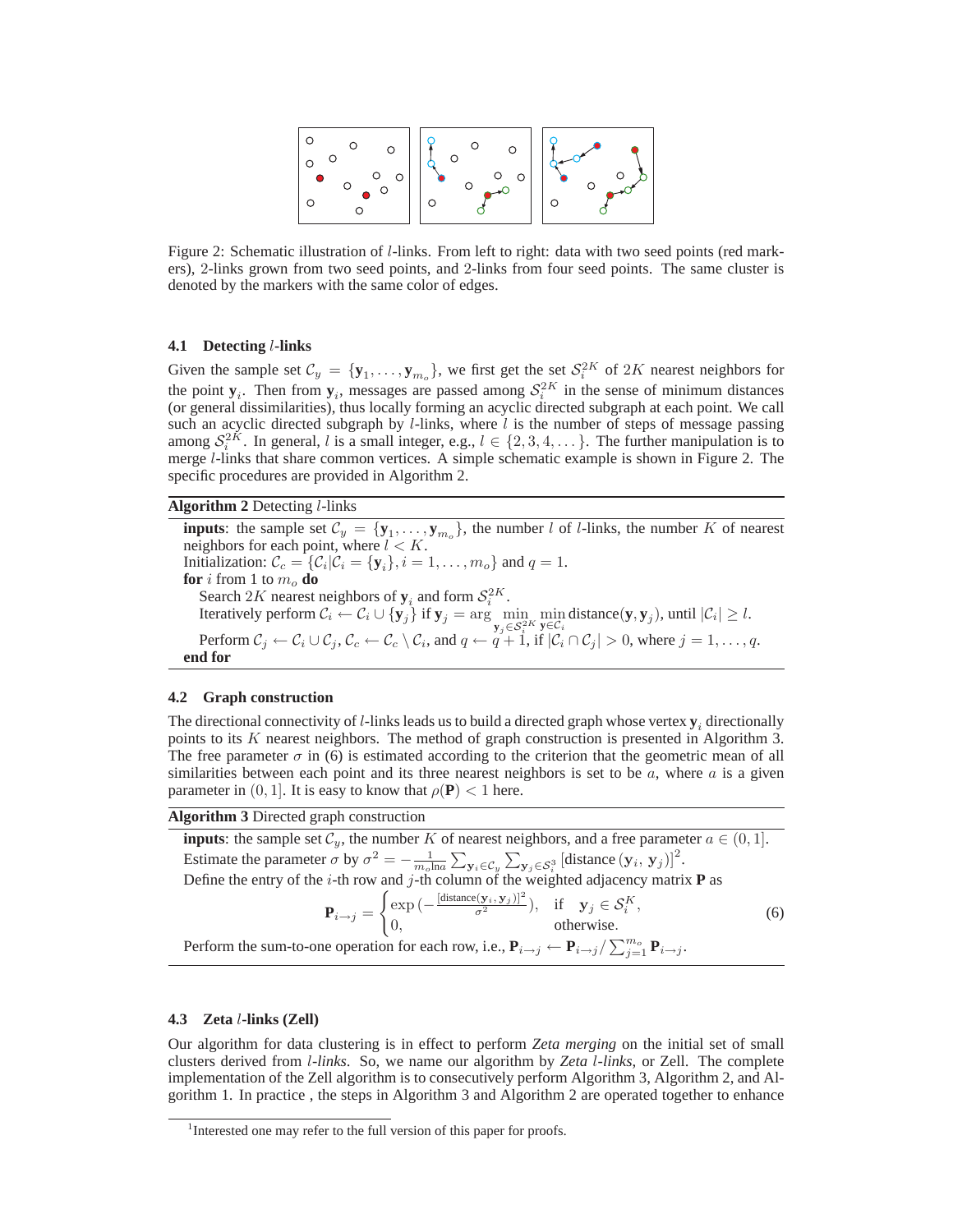

Figure 2: Schematic illustration of l-links. From left to right: data with two seed points (red markers), 2-links grown from two seed points, and 2-links from four seed points. The same cluster is denoted by the markers with the same color of edges.

## **4.1 Detecting** l**-links**

Given the sample set  $C_y = \{y_1, \ldots, y_{m_o}\}\$ , we first get the set  $S_i^{2K}$  of  $2K$  nearest neighbors for the point  $y_i$ . Then from  $y_i$ , messages are passed among  $S_i^{2K}$  in the sense of minimum distances (or general dissimilarities), thus locally forming an acyclic directed subgraph at each point. We call such an acyclic directed subgraph by  $l$ -links, where  $l$  is the number of steps of message passing among  $S_i^{2K}$ . In general, l is a small integer, e.g.,  $l \in \{2, 3, 4, \dots\}$ . The further manipulation is to merge l-links that share common vertices. A simple schematic example is shown in Figure 2. The specific procedures are provided in Algorithm 2.

**Algorithm 2** Detecting l-links

**inputs**: the sample set  $\mathcal{C}_y = \{y_1, \ldots, y_{m_o}\}\$ , the number l of l-links, the number K of nearest neighbors for each point, where  $l < K$ . Initialization:  $\mathcal{C}_c = \{\mathcal{C}_i | \mathcal{C}_i = \{\mathbf{y}_i\}, i = 1, \dots, m_o\}$  and  $q = 1$ . **for** *i* from 1 to  $m_o$  **do** Search 2K nearest neighbors of  $y_i$  and form  $S_i^{2K}$ . Iteratively perform  $C_i \leftarrow C_i \cup \{y_j\}$  if  $y_j = \arg\min_{y_j \in S_i^{2K}}$  $\min_{\mathbf{y} \in \mathcal{C}_i}$  distance(**y**, **y**<sub>j</sub>), until  $|\mathcal{C}_i| \ge l$ . Perform  $\mathcal{C}_j \leftarrow \mathcal{C}_i \cup \mathcal{C}_j$ ,  $\mathcal{C}_c \leftarrow \mathcal{C}_c \setminus \mathcal{C}_i$ , and  $q \leftarrow q + 1$ , if  $|\mathcal{C}_i \cap \mathcal{C}_j| > 0$ , where  $j = 1, \ldots, q$ . **end for**

#### **4.2 Graph construction**

The directional connectivity of  $l$ -links leads us to build a directed graph whose vertex  $y_i$  directionally points to its  $K$  nearest neighbors. The method of graph construction is presented in Algorithm 3. The free parameter  $\sigma$  in (6) is estimated according to the criterion that the geometric mean of all similarities between each point and its three nearest neighbors is set to be  $a$ , where  $a$  is a given parameter in  $(0, 1]$ . It is easy to know that  $\rho(\mathbf{P}) < 1$  here.

## **Algorithm 3** Directed graph construction

**inputs**: the sample set  $C_y$ , the number K of nearest neighbors, and a free parameter  $a \in (0, 1]$ . Estimate the parameter  $\sigma$  by  $\sigma^2 = -\frac{1}{m_o \ln a} \sum_{\mathbf{y}_i \in C_y} \sum_{\mathbf{y}_j \in S_i^3} [\text{distance } (\mathbf{y}_i, \mathbf{y}_j)]^2$ . Define the entry of the *i*-th row and *j*-th column of the weighted adjacency matrix **P** as  $\sqrt{2}$  $\exp{(-\frac{[\text{distance}(\mathbf{y}_i, \mathbf{y}_j)]^2}{\sigma^2})}, \quad \text{if} \quad \mathbf{y}_j \in \mathcal{S}_i^K$ ,

$$
\mathbf{P}_{i \to j} = \begin{cases} \exp\left(-\frac{\text{sumimize } (y_i, y_j)}{\sigma^2}\right), & \text{if } y_j \in S_i^R, \\ 0, & \text{otherwise.} \end{cases}
$$
(6)

Perform the sum-to-one operation for each row, i.e.,  $P_{i\to j} \leftarrow P_{i\to j} / \sum_{j=1}^{m_o} P_{i\to j}$ .

## **4.3 Zeta** l**-links (Zell)**

Our algorithm for data clustering is in effect to perform *Zeta merging* on the initial set of small clusters derived from l*-links*. So, we name our algorithm by *Zeta* l*-links*, or Zell. The complete implementation of the Zell algorithm is to consecutively perform Algorithm 3, Algorithm 2, and Algorithm 1. In practice , the steps in Algorithm 3 and Algorithm 2 are operated together to enhance

<sup>&</sup>lt;sup>1</sup>Interested one may refer to the full version of this paper for proofs.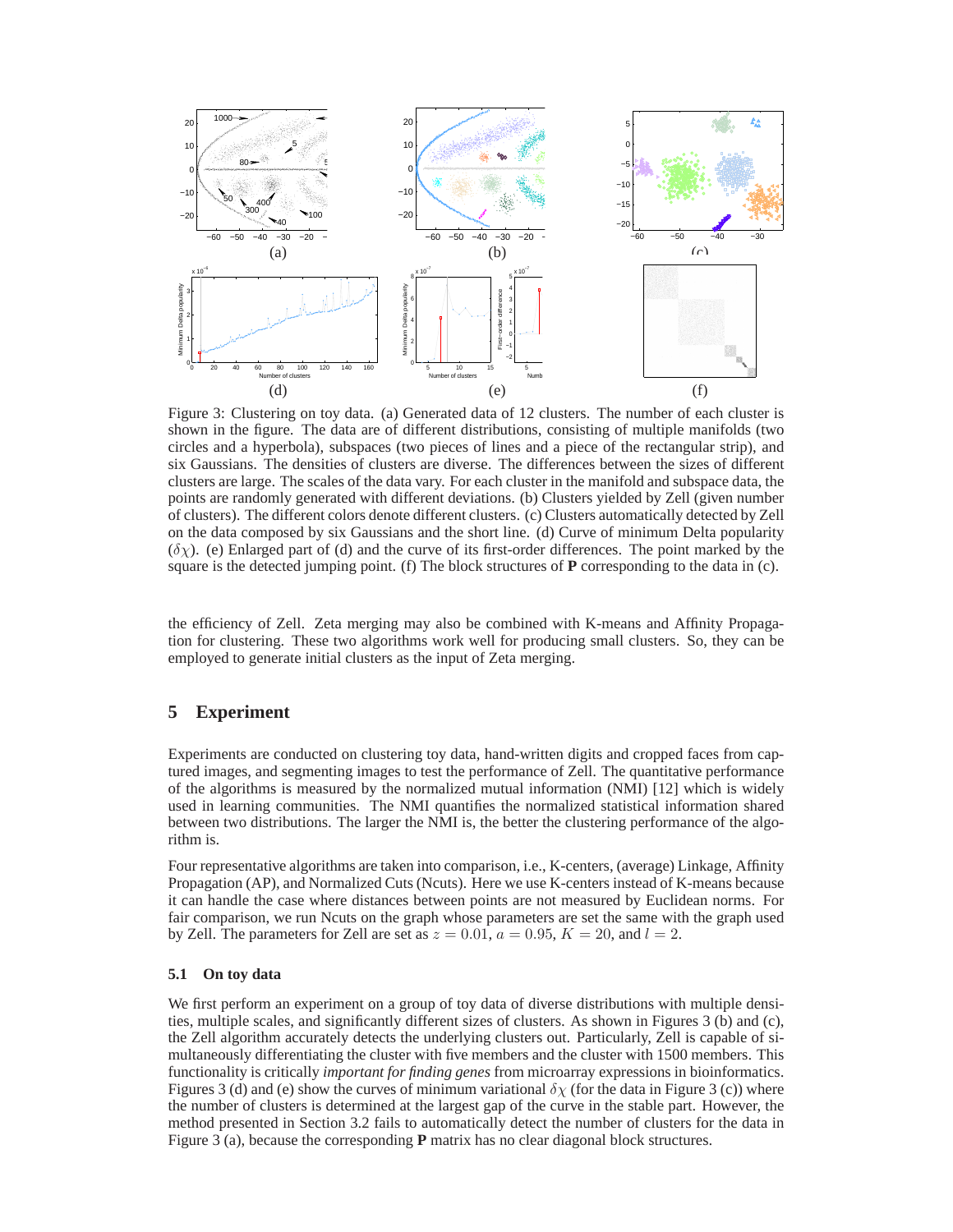

Figure 3: Clustering on toy data. (a) Generated data of 12 clusters. The number of each cluster is shown in the figure. The data are of different distributions, consisting of multiple manifolds (two circles and a hyperbola), subspaces (two pieces of lines and a piece of the rectangular strip), and six Gaussians. The densities of clusters are diverse. The differences between the sizes of different clusters are large. The scales of the data vary. For each cluster in the manifold and subspace data, the points are randomly generated with different deviations. (b) Clusters yielded by Zell (given number of clusters). The different colors denote different clusters. (c) Clusters automatically detected by Zell on the data composed by six Gaussians and the short line. (d) Curve of minimum Delta popularity  $(\delta \chi)$ . (e) Enlarged part of (d) and the curve of its first-order differences. The point marked by the square is the detected jumping point. (f) The block structures of **P** corresponding to the data in (c).

the efficiency of Zell. Zeta merging may also be combined with K-means and Affinity Propagation for clustering. These two algorithms work well for producing small clusters. So, they can be employed to generate initial clusters as the input of Zeta merging.

## **5 Experiment**

Experiments are conducted on clustering toy data, hand-written digits and cropped faces from captured images, and segmenting images to test the performance of Zell. The quantitative performance of the algorithms is measured by the normalized mutual information (NMI) [12] which is widely used in learning communities. The NMI quantifies the normalized statistical information shared between two distributions. The larger the NMI is, the better the clustering performance of the algorithm is.

Four representative algorithms are taken into comparison, i.e., K-centers, (average) Linkage, Affinity Propagation (AP), and Normalized Cuts (Ncuts). Here we use K-centers instead of K-means because it can handle the case where distances between points are not measured by Euclidean norms. For fair comparison, we run Ncuts on the graph whose parameters are set the same with the graph used by Zell. The parameters for Zell are set as  $z = 0.01$ ,  $a = 0.95$ ,  $K = 20$ , and  $l = 2$ .

## **5.1 On toy data**

We first perform an experiment on a group of toy data of diverse distributions with multiple densities, multiple scales, and significantly different sizes of clusters. As shown in Figures 3 (b) and (c), the Zell algorithm accurately detects the underlying clusters out. Particularly, Zell is capable of simultaneously differentiating the cluster with five members and the cluster with 1500 members. This functionality is critically *important for finding genes* from microarray expressions in bioinformatics. Figures 3 (d) and (e) show the curves of minimum variational  $\delta \chi$  (for the data in Figure 3 (c)) where the number of clusters is determined at the largest gap of the curve in the stable part. However, the method presented in Section 3.2 fails to automatically detect the number of clusters for the data in Figure 3 (a), because the corresponding **P** matrix has no clear diagonal block structures.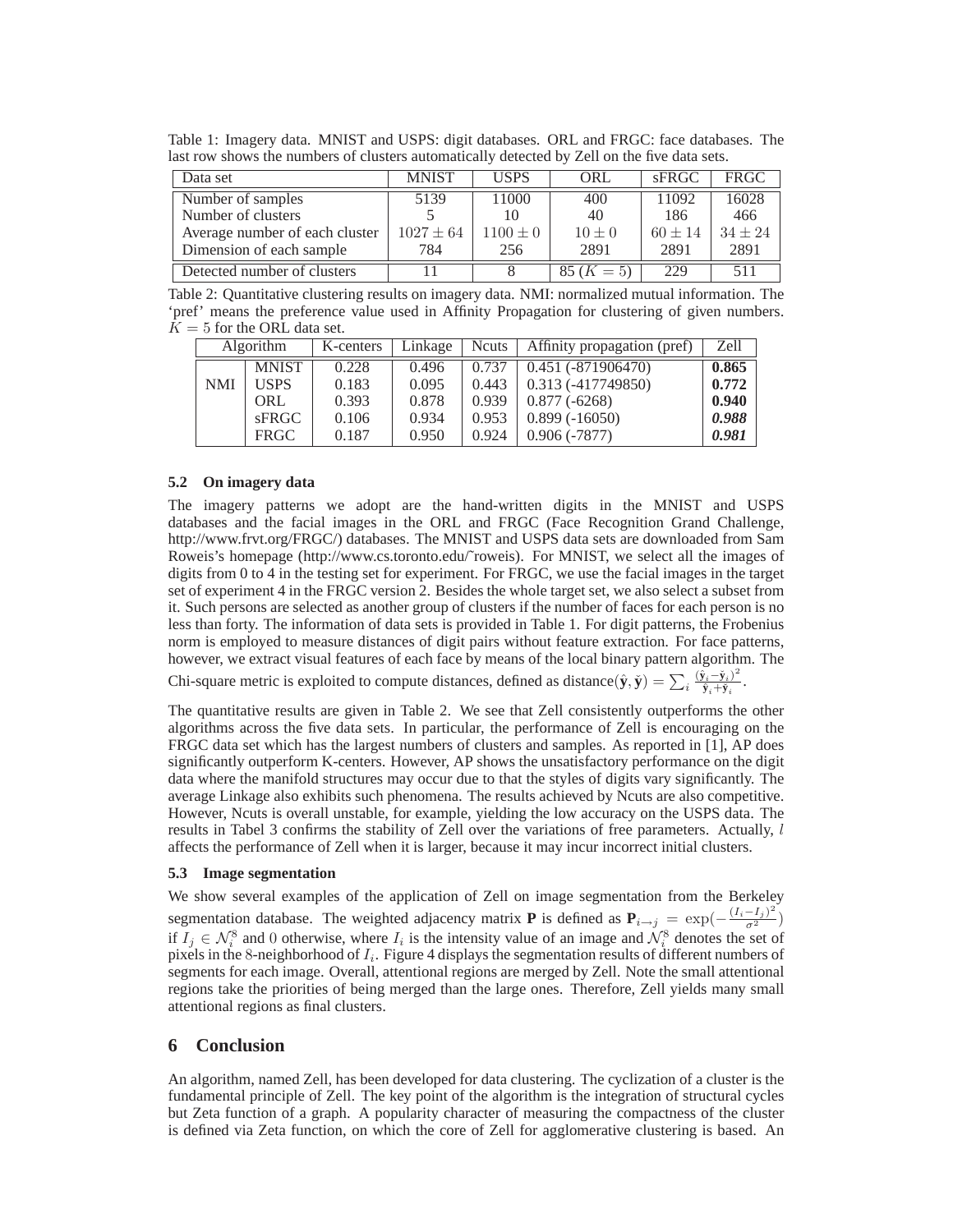Table 1: Imagery data. MNIST and USPS: digit databases. ORL and FRGC: face databases. The last row shows the numbers of clusters automatically detected by Zell on the five data sets.

| Data set                       | <b>MNIST</b>  | <b>USPS</b>  | ORL          | sFRGC       | <b>FRGC</b> |
|--------------------------------|---------------|--------------|--------------|-------------|-------------|
| Number of samples              | 5139          | 11000        | 400          | 11092       | 16028       |
| Number of clusters             |               | 10           | 40           | 186         | 466         |
| Average number of each cluster | $1027 \pm 64$ | $1100 \pm 0$ | $10 \pm 0$   | $60 \pm 14$ | $34 + 24$   |
| Dimension of each sample       | 784           | 256          | 2891         | 2891        | 2891        |
| Detected number of clusters    |               |              | $85 (K = 5)$ | 229         | 511         |

Table 2: Quantitative clustering results on imagery data. NMI: normalized mutual information. The 'pref' means the preference value used in Affinity Propagation for clustering of given numbers.  $K = 5$  for the ORL data set.

|     | <b>Algorithm</b> | K-centers | Linkage | <b>N</b> cuts | Affinity propagation (pref) | Zell  |
|-----|------------------|-----------|---------|---------------|-----------------------------|-------|
|     | <b>MNIST</b>     | 0.228     | 0.496   | 0.737         | $0.451(-871906470)$         | 0.865 |
| NMI | <b>USPS</b>      | 0.183     | 0.095   | 0.443         | $0.313(-417749850)$         | 0.772 |
|     | ORL              | 0.393     | 0.878   | 0.939         | $0.877(-6268)$              | 0.940 |
|     | sFRGC            | 0.106     | 0.934   | 0.953         | $0.899(-16050)$             | 0.988 |
|     | <b>FRGC</b>      | 0.187     | 0.950   | 0.924         | $0.906(-7877)$              | 0.981 |

#### **5.2 On imagery data**

The imagery patterns we adopt are the hand-written digits in the MNIST and USPS databases and the facial images in the ORL and FRGC (Face Recognition Grand Challenge, http://www.frvt.org/FRGC/) databases. The MNIST and USPS data sets are downloaded from Sam Roweis's homepage (http://www.cs.toronto.edu/˜roweis). For MNIST, we select all the images of digits from 0 to 4 in the testing set for experiment. For FRGC, we use the facial images in the target set of experiment 4 in the FRGC version 2. Besides the whole target set, we also select a subset from it. Such persons are selected as another group of clusters if the number of faces for each person is no less than forty. The information of data sets is provided in Table 1. For digit patterns, the Frobenius norm is employed to measure distances of digit pairs without feature extraction. For face patterns, however, we extract visual features of each face by means of the local binary pattern algorithm. The

Chi-square metric is exploited to compute distances, defined as distance $(\hat{\mathbf{y}}, \check{\mathbf{y}}) = \sum_i \frac{(\hat{\mathbf{y}}_i - \check{\mathbf{y}}_i)^2}{\hat{\mathbf{y}}_i + \check{\mathbf{y}}_i}$  $\frac{\hat{\mathbf{y}}_i-\mathbf{y}_i}{\hat{\mathbf{y}}_i+\check{\mathbf{y}}_i}$ .

The quantitative results are given in Table 2. We see that Zell consistently outperforms the other algorithms across the five data sets. In particular, the performance of Zell is encouraging on the FRGC data set which has the largest numbers of clusters and samples. As reported in [1], AP does significantly outperform K-centers. However, AP shows the unsatisfactory performance on the digit data where the manifold structures may occur due to that the styles of digits vary significantly. The average Linkage also exhibits such phenomena. The results achieved by Ncuts are also competitive. However, Ncuts is overall unstable, for example, yielding the low accuracy on the USPS data. The results in Tabel 3 confirms the stability of Zell over the variations of free parameters. Actually, l affects the performance of Zell when it is larger, because it may incur incorrect initial clusters.

#### **5.3 Image segmentation**

We show several examples of the application of Zell on image segmentation from the Berkeley segmentation database. The weighted adjacency matrix **P** is defined as  $P_{i\rightarrow j} = \exp(-\frac{(I_i - I_j)^2}{\sigma^2})$ if  $I_j \in \mathcal{N}_i^8$  and 0 otherwise, where  $I_i$  is the intensity value of an image and  $\mathcal{N}_i^8$  denotes the set of pixels in the 8-neighborhood of  $I_i$ . Figure 4 displays the segmentation results of different numbers of segments for each image. Overall, attentional regions are merged by Zell. Note the small attentional regions take the priorities of being merged than the large ones. Therefore, Zell yields many small attentional regions as final clusters.

## **6 Conclusion**

An algorithm, named Zell, has been developed for data clustering. The cyclization of a cluster is the fundamental principle of Zell. The key point of the algorithm is the integration of structural cycles but Zeta function of a graph. A popularity character of measuring the compactness of the cluster is defined via Zeta function, on which the core of Zell for agglomerative clustering is based. An